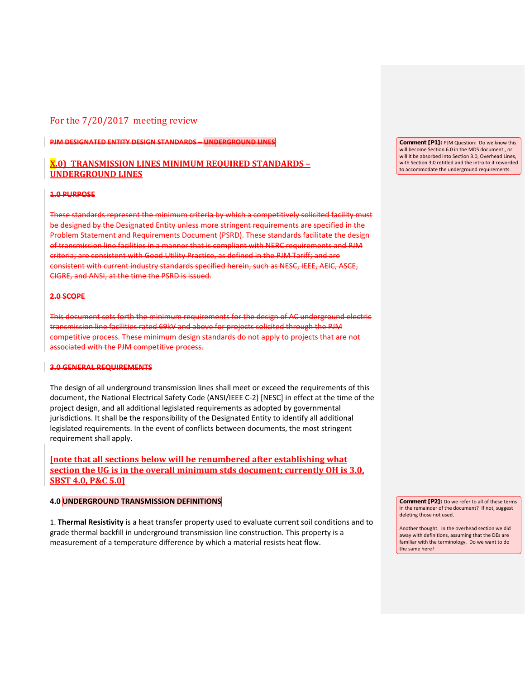# For the 7/20/2017 meeting review

**PJM DESIGNATED ENTITY DESIGN STANDARDS – UNDERGROUND LINES**

# **X.0) TRANSMISSION LINES MINIMUM REQUIRED STANDARDS – UNDERGROUND LINES**

#### **1.0 PURPOSE**

These standards represent the minimum criteria by which a competitively solicited facility must be designed by the Designated Entity unless more stringent requirements are specified in the Problem Statement and Requirements Document (PSRD). These standards facilitate the design of transmission line facilities in a manner that is compliant with NERC requirements and PJM criteria; are consistent with Good Utility Practice, as defined in the PJM Tariff; and are consistent with current industry standards specified herein, such as NESC, IEEE, AEIC, ASCE, CIGRE, and ANSI, at the time the PSRD is issued.

#### **2.0 SCOPE**

This document sets forth the minimum requirements for the design of AC underground electric transmission line facilities rated 69kV and above for projects solicited through the PJM competitive process. These minimum design standards do not apply to projects that are not associated with the PJM competitive process.

## **3.0 GENERAL REQUIREMENTS**

The design of all underground transmission lines shall meet or exceed the requirements of this document, the National Electrical Safety Code (ANSI/IEEE C-2) [NESC] in effect at the time of the project design, and all additional legislated requirements as adopted by governmental jurisdictions. It shall be the responsibility of the Designated Entity to identify all additional legislated requirements. In the event of conflicts between documents, the most stringent requirement shall apply.

**[note that all sections below will be renumbered after establishing what section the UG is in the overall minimum stds document; currently OH is 3.0, SBST 4.0, P&C 5.0]**

### **4.0 UNDERGROUND TRANSMISSION DEFINITIONS**

1. **Thermal Resistivity** is a heat transfer property used to evaluate current soil conditions and to grade thermal backfill in underground transmission line construction. This property is a measurement of a temperature difference by which a material resists heat flow.

**Comment [P1]:** PJM Question: Do we know this will become Section 6.0 in the MDS document., or will it be absorbed into Section 3.0, Overhead Lines, with Section 3.0 retitled and the intro to it reworded to accommodate the underground requirements.

**Comment [P2]:** Do we refer to all of these terms in the remainder of the document? If not, suggest deleting those not used.

Another thought. In the overhead section we did away with definitions, assuming that the DEs are familiar with the terminology. Do we want to do the same here?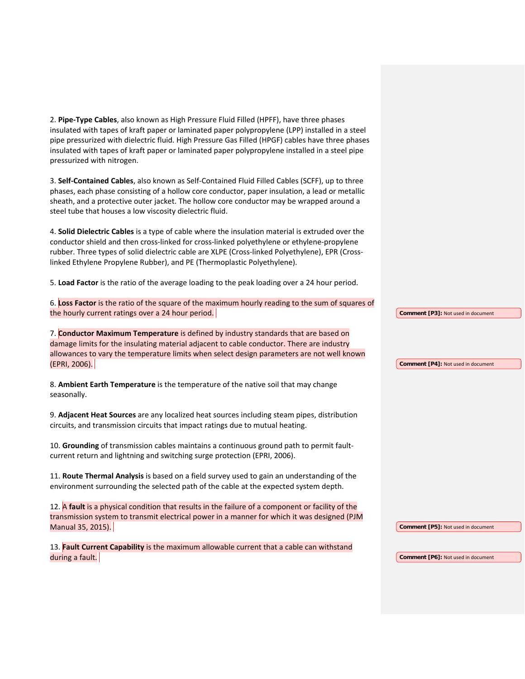2. **Pipe-Type Cables**, also known as High Pressure Fluid Filled (HPFF), have three phases insulated with tapes of kraft paper or laminated paper polypropylene (LPP) installed in a steel pipe pressurized with dielectric fluid. High Pressure Gas Filled (HPGF) cables have three phases insulated with tapes of kraft paper or laminated paper polypropylene installed in a steel pipe pressurized with nitrogen.

3. **Self-Contained Cables**, also known as Self-Contained Fluid Filled Cables (SCFF), up to three phases, each phase consisting of a hollow core conductor, paper insulation, a lead or metallic sheath, and a protective outer jacket. The hollow core conductor may be wrapped around a steel tube that houses a low viscosity dielectric fluid.

4. **Solid Dielectric Cables** is a type of cable where the insulation material is extruded over the conductor shield and then cross-linked for cross-linked polyethylene or ethylene-propylene rubber. Three types of solid dielectric cable are XLPE (Cross-linked Polyethylene), EPR (Crosslinked Ethylene Propylene Rubber), and PE (Thermoplastic Polyethylene).

5. **Load Factor** is the ratio of the average loading to the peak loading over a 24 hour period.

6. **Loss Factor** is the ratio of the square of the maximum hourly reading to the sum of squares of the hourly current ratings over a 24 hour period.

7. **Conductor Maximum Temperature** is defined by industry standards that are based on damage limits for the insulating material adjacent to cable conductor. There are industry allowances to vary the temperature limits when select design parameters are not well known (EPRI, 2006).

8. **Ambient Earth Temperature** is the temperature of the native soil that may change seasonally.

9. **Adjacent Heat Sources** are any localized heat sources including steam pipes, distribution circuits, and transmission circuits that impact ratings due to mutual heating.

10. **Grounding** of transmission cables maintains a continuous ground path to permit faultcurrent return and lightning and switching surge protection (EPRI, 2006).

11. **Route Thermal Analysis** is based on a field survey used to gain an understanding of the environment surrounding the selected path of the cable at the expected system depth.

12. A **fault** is a physical condition that results in the failure of a component or facility of the transmission system to transmit electrical power in a manner for which it was designed (PJM Manual 35, 2015).

13. **Fault Current Capability** is the maximum allowable current that a cable can withstand during a fault.

**Comment [P3]:** Not used in document

**Comment [P4]:** Not used in document

**Comment [P5]:** Not used in document

**Comment [P6]:** Not used in document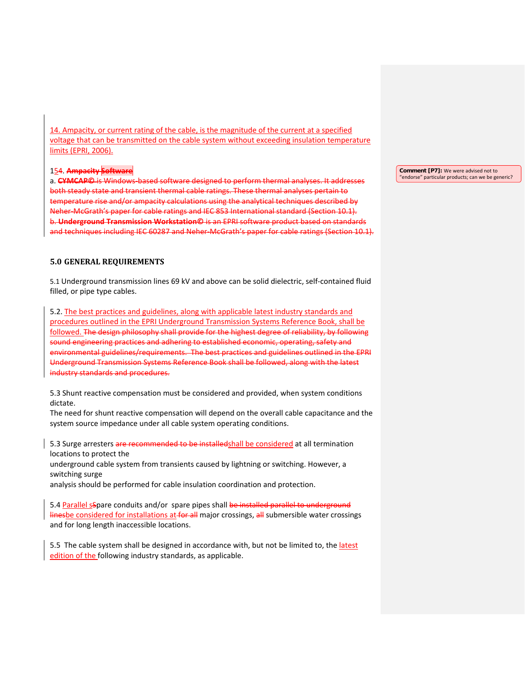14. Ampacity, or current rating of the cable, is the magnitude of the current at a specified voltage that can be transmitted on the cable system without exceeding insulation temperature limits (EPRI, 2006).

154. **Ampacity Software**

a. **CYMCAP©** is Windows-based software designed to perform thermal analyses. It addresses both steady state and transient thermal cable ratings. These thermal analyses pertain to temperature rise and/or ampacity calculations using the analytical techniques described by Neher-McGrath's paper for cable ratings and IEC 853 International standard (Section 10.1). b. **Underground Transmission Workstation©** is an EPRI software product based on standards and techniques including IEC 60287 and Neher-McGrath's paper for cable ratings (Section 10.1).

# **5.0 GENERAL REQUIREMENTS**

5.1 Underground transmission lines 69 kV and above can be solid dielectric, self-contained fluid filled, or pipe type cables.

5.2. The best practices and guidelines, along with applicable latest industry standards and procedures outlined in the EPRI Underground Transmission Systems Reference Book, shall be followed. The design philosophy shall provide for the highest degree of reliability, by following sound engineering practices and adhering to established economic, operating, safety and environmental guidelines/requirements. The best practices and guidelines outlined in the EPRI Underground Transmission Systems Reference Book shall be followed, along with the latest industry standards and procedures.

5.3 Shunt reactive compensation must be considered and provided, when system conditions dictate.

The need for shunt reactive compensation will depend on the overall cable capacitance and the system source impedance under all cable system operating conditions.

5.3 Surge arresters are recommended to be installedshall be considered at all termination locations to protect the

underground cable system from transients caused by lightning or switching. However, a switching surge

analysis should be performed for cable insulation coordination and protection.

5.4 Parallel sSpare conduits and/or spare pipes shall be installed parallel to underground linesbe considered for installations at for all major crossings, all submersible water crossings and for long length inaccessible locations.

5.5 The cable system shall be designed in accordance with, but not be limited to, the latest edition of the following industry standards, as applicable.

**Comment [P7]:** We were advised not to "endorse" particular products; can we be generic?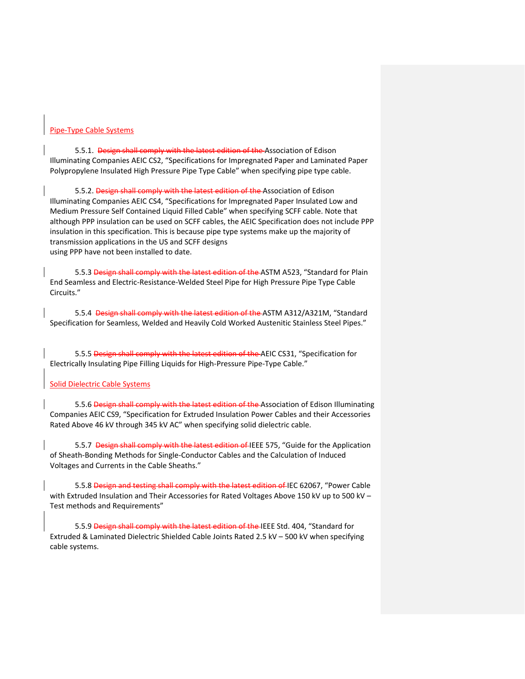#### Pipe-Type Cable Systems

5.5.1. Design shall comply with the latest edition of the Association of Edison Illuminating Companies AEIC CS2, "Specifications for Impregnated Paper and Laminated Paper Polypropylene Insulated High Pressure Pipe Type Cable" when specifying pipe type cable.

5.5.2. Design shall comply with the latest edition of the Association of Edison Illuminating Companies AEIC CS4, "Specifications for Impregnated Paper Insulated Low and Medium Pressure Self Contained Liquid Filled Cable" when specifying SCFF cable. Note that although PPP insulation can be used on SCFF cables, the AEIC Specification does not include PPP insulation in this specification. This is because pipe type systems make up the majority of transmission applications in the US and SCFF designs using PPP have not been installed to date.

5.5.3 Design shall comply with the latest edition of the ASTM A523, "Standard for Plain End Seamless and Electric-Resistance-Welded Steel Pipe for High Pressure Pipe Type Cable Circuits."

5.5.4 Design shall comply with the latest edition of the ASTM A312/A321M, "Standard Specification for Seamless, Welded and Heavily Cold Worked Austenitic Stainless Steel Pipes."

5.5.5 Design shall comply with the latest edition of the AEIC CS31, "Specification for Electrically Insulating Pipe Filling Liquids for High-Pressure Pipe-Type Cable."

### Solid Dielectric Cable Systems

5.5.6 Design shall comply with the latest edition of the Association of Edison Illuminating Companies AEIC CS9, "Specification for Extruded Insulation Power Cables and their Accessories Rated Above 46 kV through 345 kV AC" when specifying solid dielectric cable.

5.5.7 Design shall comply with the latest edition of IEEE 575, "Guide for the Application of Sheath-Bonding Methods for Single-Conductor Cables and the Calculation of Induced Voltages and Currents in the Cable Sheaths."

5.5.8 Design and testing shall comply with the latest edition of IEC 62067, "Power Cable with Extruded Insulation and Their Accessories for Rated Voltages Above 150 kV up to 500 kV -Test methods and Requirements"

5.5.9 Design shall comply with the latest edition of the IEEE Std. 404, "Standard for Extruded & Laminated Dielectric Shielded Cable Joints Rated 2.5 kV – 500 kV when specifying cable systems.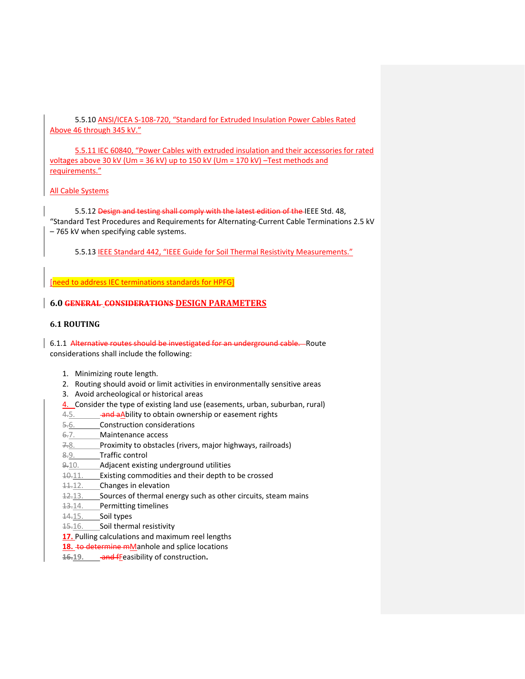5.5.10 ANSI/ICEA S-108-720, "Standard for Extruded Insulation Power Cables Rated Above 46 through 345 kV."

5.5.11 IEC 60840, "Power Cables with extruded insulation and their accessories for rated voltages above 30 kV (Um = 36 kV) up to 150 kV (Um = 170 kV) –Test methods and requirements."

# All Cable Systems

5.5.12 Design and testing shall comply with the latest edition of the IEEE Std. 48, "Standard Test Procedures and Requirements for Alternating-Current Cable Terminations 2.5 kV – 765 kV when specifying cable systems.

5.5.13 IEEE Standard 442, "IEEE Guide for Soil Thermal Resistivity Measurements."

[need to address IEC terminations standards for HPFG]

# **6.0 GENERAL CONSIDERATIONS DESIGN PARAMETERS**

# **6.1 ROUTING**

6.1.1 Alternative routes should be investigated for an underground cable. Route considerations shall include the following:

- 1. Minimizing route length.
- 2. Routing should avoid or limit activities in environmentally sensitive areas
- 3. Avoid archeological or historical areas
- 4. Consider the type of existing land use (easements, urban, suburban, rural)
- 4.5. **and aAbility to obtain ownership or easement rights**
- 5.6. Construction considerations
- 6.7. Maintenance access
- 7.8. Proximity to obstacles (rivers, major highways, railroads)
- 8.9. Traffic control
- 9.10. Adjacent existing underground utilities
- 10.11. Existing commodities and their depth to be crossed
- 11.12. Changes in elevation
- 12.13. Sources of thermal energy such as other circuits, steam mains
- 13.14. Permitting timelines
- 14.15. Soil types
- 15.16. Soil thermal resistivity
- **17.** Pulling calculations and maximum reel lengths
- 18. to determine mManhole and splice locations
- 16.19. and freasibility of construction.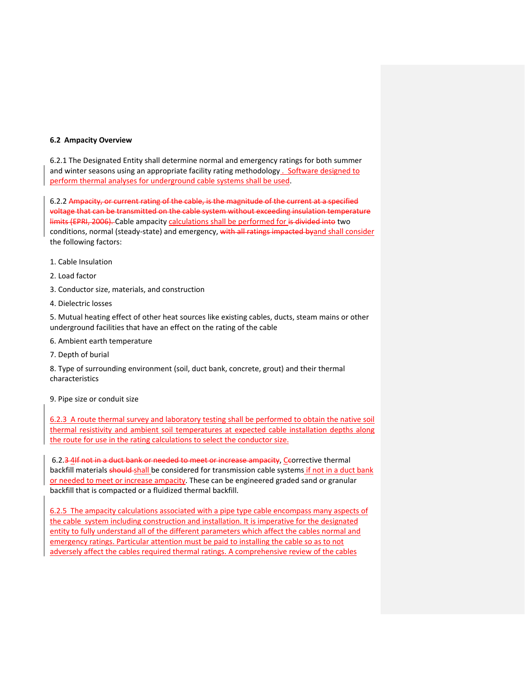## **6.2 Ampacity Overview**

6.2.1 The Designated Entity shall determine normal and emergency ratings for both summer and winter seasons using an appropriate facility rating methodology . Software designed to perform thermal analyses for underground cable systems shall be used.

6.2.2 Ampacity, or current rating of the cable, is the magnitude of the current at a specified voltage that can be transmitted on the cable system without exceeding insulation temperature limits (EPRI, 2006). Cable ampacity calculations shall be performed for is divided into two conditions, normal (steady-state) and emergency, with all ratings impacted byand shall consider the following factors:

- 1. Cable Insulation
- 2. Load factor
- 3. Conductor size, materials, and construction
- 4. Dielectric losses

5. Mutual heating effect of other heat sources like existing cables, ducts, steam mains or other underground facilities that have an effect on the rating of the cable

- 6. Ambient earth temperature
- 7. Depth of burial

8. Type of surrounding environment (soil, duct bank, concrete, grout) and their thermal characteristics

9. Pipe size or conduit size

6.2.3 A route thermal survey and laboratory testing shall be performed to obtain the native soil thermal resistivity and ambient soil temperatures at expected cable installation depths along the route for use in the rating calculations to select the conductor size.

6.2.3 4If not in a duct bank or needed to meet or increase ampacity, Ceorrective thermal backfill materials should shall be considered for transmission cable systems if not in a duct bank or needed to meet or increase ampacity. These can be engineered graded sand or granular backfill that is compacted or a fluidized thermal backfill.

6.2.5 The ampacity calculations associated with a pipe type cable encompass many aspects of the cable system including construction and installation. It is imperative for the designated entity to fully understand all of the different parameters which affect the cables normal and emergency ratings. Particular attention must be paid to installing the cable so as to not adversely affect the cables required thermal ratings. A comprehensive review of the cables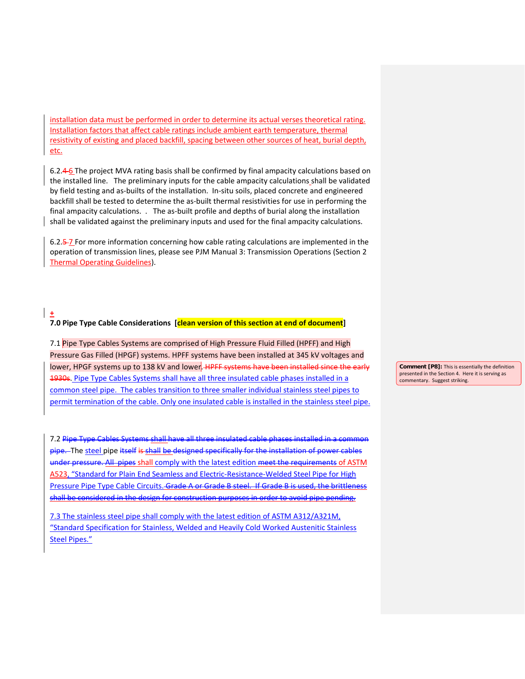installation data must be performed in order to determine its actual verses theoretical rating. Installation factors that affect cable ratings include ambient earth temperature, thermal resistivity of existing and placed backfill, spacing between other sources of heat, burial depth, etc.

6.2.4 6 The project MVA rating basis shall be confirmed by final ampacity calculations based on the installed line. The preliminary inputs for the cable ampacity calculations shall be validated by field testing and as-builts of the installation. In-situ soils, placed concrete and engineered backfill shall be tested to determine the as-built thermal resistivities for use in performing the final ampacity calculations. . The as-built profile and depths of burial along the installation shall be validated against the preliminary inputs and used for the final ampacity calculations.

6.2.5 7 For more information concerning how cable rating calculations are implemented in the operation of transmission lines, please see PJM Manual 3: Transmission Operations (Section 2 Thermal Operating Guidelines).

**+ 7.0 Pipe Type Cable Considerations [clean version of this section at end of document]**

7.1 Pipe Type Cables Systems are comprised of High Pressure Fluid Filled (HPFF) and High Pressure Gas Filled (HPGF) systems. HPFF systems have been installed at 345 kV voltages and lower, HPGF systems up to 138 kV and lower. HPFF systems have been installed since the early 1930s. Pipe Type Cables Systems shall have all three insulated cable phases installed in a common steel pipe. The cables transition to three smaller individual stainless steel pipes to permit termination of the cable. Only one insulated cable is installed in the stainless steel pipe.

7.2 Pipe Type Cables Systems shall have all three insulated cable phases installed in a common pipe. The steel pipe itself is shall be designed specifically for the installation of power cables under pressure. All pipes shall comply with the latest edition meet the requirements of ASTM A523, "Standard for Plain End Seamless and Electric-Resistance-Welded Steel Pipe for High Pressure Pipe Type Cable Circuits. Grade A or Grade B steel. If Grade B is used, the brittleness shall be considered in the design for construction purposes in order to avoid pipe pending.

7.3 The stainless steel pipe shall comply with the latest edition of ASTM A312/A321M, "Standard Specification for Stainless, Welded and Heavily Cold Worked Austenitic Stainless Steel Pipes."

**Comment [P8]:** This is essentially the definition presented in the Section 4. Here it is serving as commentary. Suggest striking.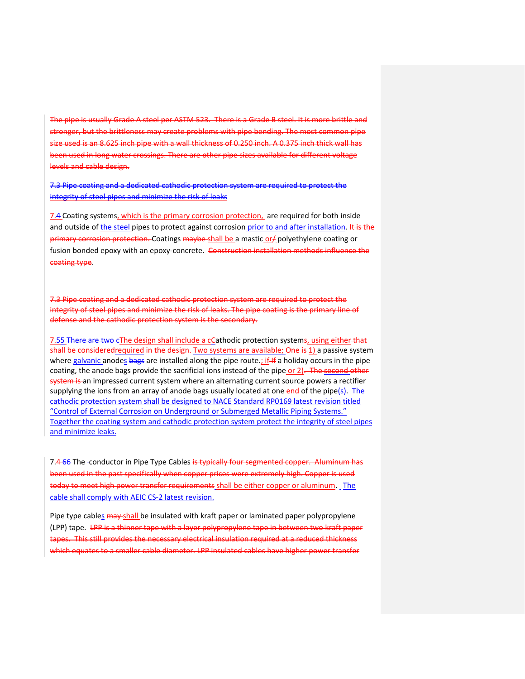The pipe is usually Grade A steel per ASTM 523. There is a Grade B steel. It is more brittle and stronger, but the brittleness may create problems with pipe bending. The most common pipe size used is an 8.625 inch pipe with a wall thickness of 0.250 inch. A 0.375 inch thick wall has been used in long water crossings. There are other pipe sizes available for different voltage levels and cable design.

7.3 Pipe coating and a dedicated cathodic protection system are required to protect the integrity of steel pipes and minimize the risk of leaks

7.4 Coating systems, which is the primary corrosion protection, are required for both inside and outside of the steel pipes to protect against corrosion prior to and after installation. It is the primary corrosion protection. Coatings maybe shall be a mastic or/ polyethylene coating or fusion bonded epoxy with an epoxy-concrete. Construction installation methods influence the coating type.

7.3 Pipe coating and a dedicated cathodic protection system are required to protect the integrity of steel pipes and minimize the risk of leaks. The pipe coating is the primary line of defense and the cathodic protection system is the secondary.

7.55 There are two eThe design shall include a cCathodic protection systems, using either that shall be consideredrequired in the design. Two systems are available; One is 1) a passive system where galvanic anodes bags are installed along the pipe route.; if If a holiday occurs in the pipe coating, the anode bags provide the sacrificial ions instead of the pipe or 2). The second other system is an impressed current system where an alternating current source powers a rectifier supplying the ions from an array of anode bags usually located at one  $end$  of the pipe( $s$ ). The cathodic protection system shall be designed to NACE Standard RP0169 latest revision titled "Control of External Corrosion on Underground or Submerged Metallic Piping Systems." Together the coating system and cathodic protection system protect the integrity of steel pipes and minimize leaks.

7.4 66 The -conductor in Pipe Type Cables is typically four segmented copper. Aluminum has been used in the past specifically when copper prices were extremely high. Copper is used today to meet high power transfer requirements shall be either copper or aluminum. The cable shall comply with AEIC CS-2 latest revision.

Pipe type cables may shall be insulated with kraft paper or laminated paper polypropylene (LPP) tape. LPP is a thinner tape with a layer polypropylene tape in between two kraft paper tapes. This still provides the necessary electrical insulation required at a reduced thickness which equates to a smaller cable diameter. LPP insulated cables have higher power transfer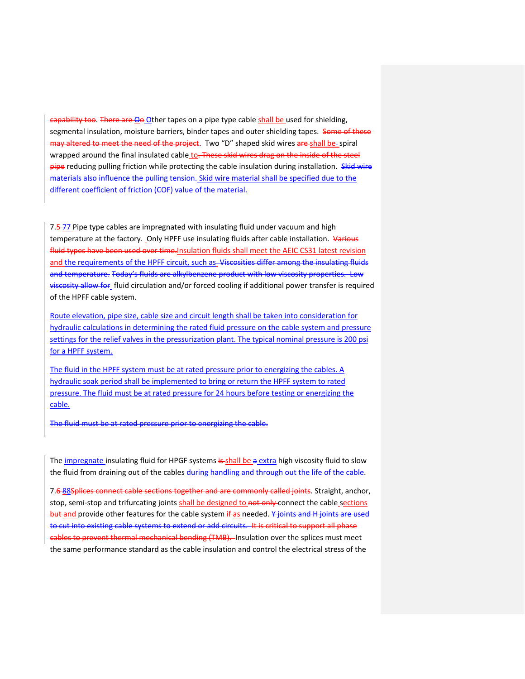capability too. There are Oo Other tapes on a pipe type cable shall be used for shielding, segmental insulation, moisture barriers, binder tapes and outer shielding tapes. Some of these may altered to meet the need of the project. Two "D" shaped skid wires are shall be-spiral wrapped around the final insulated cable to. These skid wires drag on the inside of the steel pipe reducing pulling friction while protecting the cable insulation during installation. Skid wire materials also influence the pulling tension. Skid wire material shall be specified due to the different coefficient of friction (COF) value of the material.

7.5-77 Pipe type cables are impregnated with insulating fluid under vacuum and high temperature at the factory. Only HPFF use insulating fluids after cable installation. Various fluid types have been used over time. Insulation fluids shall meet the AEIC CS31 latest revision and the requirements of the HPFF circuit, such as-Viscosities differ among the insulating fluids and temperature. Today's fluids are alkylbenzene product with low viscosity properties. Low viscosity allow for fluid circulation and/or forced cooling if additional power transfer is required of the HPFF cable system.

Route elevation, pipe size, cable size and circuit length shall be taken into consideration for hydraulic calculations in determining the rated fluid pressure on the cable system and pressure settings for the relief valves in the pressurization plant. The typical nominal pressure is 200 psi for a HPFF system.

The fluid in the HPFF system must be at rated pressure prior to energizing the cables. A hydraulic soak period shall be implemented to bring or return the HPFF system to rated pressure. The fluid must be at rated pressure for 24 hours before testing or energizing the cable.

The fluid must be at rated pressure prior to energizing the cable.

The impregnate insulating fluid for HPGF systems is shall be a extra high viscosity fluid to slow the fluid from draining out of the cables during handling and through out the life of the cable.

7.6 88Splices connect cable sections together and are commonly called joints. Straight, anchor, stop, semi-stop and trifurcating joints shall be designed to not only connect the cable sections but and provide other features for the cable system if as needed. Y joints and H joints are used to cut into existing cable systems to extend or add circuits. It is critical to support all phase cables to prevent thermal mechanical bending (TMB). Insulation over the splices must meet the same performance standard as the cable insulation and control the electrical stress of the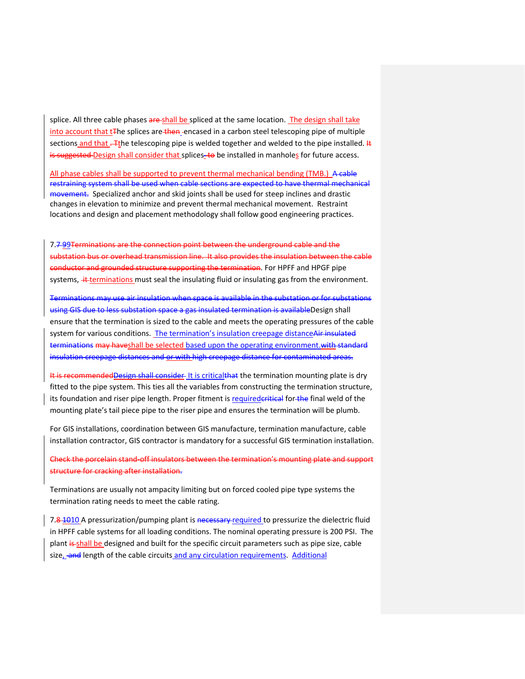splice. All three cable phases are shall be spliced at the same location. The design shall take into account that t<sub>The splices are then</sub> encased in a carbon steel telescoping pipe of multiple sections and that . The telescoping pipe is welded together and welded to the pipe installed. It is suggested Design shall consider that splices to be installed in manholes for future access.

All phase cables shall be supported to prevent thermal mechanical bending (TMB.) A cable restraining system shall be used when cable sections are expected to have thermal mechanical movement. Specialized anchor and skid joints shall be used for steep inclines and drastic changes in elevation to minimize and prevent thermal mechanical movement. Restraint locations and design and placement methodology shall follow good engineering practices.

7.7-99Terminations are the connection point between the underground cable and the substation bus or overhead transmission line. It also provides the insulation between the cable conductor and grounded structure supporting the termination. For HPFF and HPGF pipe systems,  $\ddot{+}$  terminations must seal the insulating fluid or insulating gas from the environment.

Terminations may use air insulation when space is available in the substation or for substations using GIS due to less substation space a gas insulated termination is availableDesign shall ensure that the termination is sized to the cable and meets the operating pressures of the cable system for various conditions. The termination's insulation creepage distanceAir insulated terminations may have shall be selected based upon the operating environment. with standard insulation creepage distances and or with high creepage distance for contaminated areas.

It is recommendedDesign shall consider It is criticalthat the termination mounting plate is dry fitted to the pipe system. This ties all the variables from constructing the termination structure, its foundation and riser pipe length. Proper fitment is requirederitical for the final weld of the mounting plate's tail piece pipe to the riser pipe and ensures the termination will be plumb.

For GIS installations, coordination between GIS manufacture, termination manufacture, cable installation contractor, GIS contractor is mandatory for a successful GIS termination installation.

Check the porcelain stand-off insulators between the termination's mounting plate and support structure for cracking after installation.

Terminations are usually not ampacity limiting but on forced cooled pipe type systems the termination rating needs to meet the cable rating.

7.8-1010 A pressurization/pumping plant is necessary required to pressurize the dielectric fluid in HPFF cable systems for all loading conditions. The nominal operating pressure is 200 PSI. The plant is shall be designed and built for the specific circuit parameters such as pipe size, cable size, and length of the cable circuits and any circulation requirements. Additional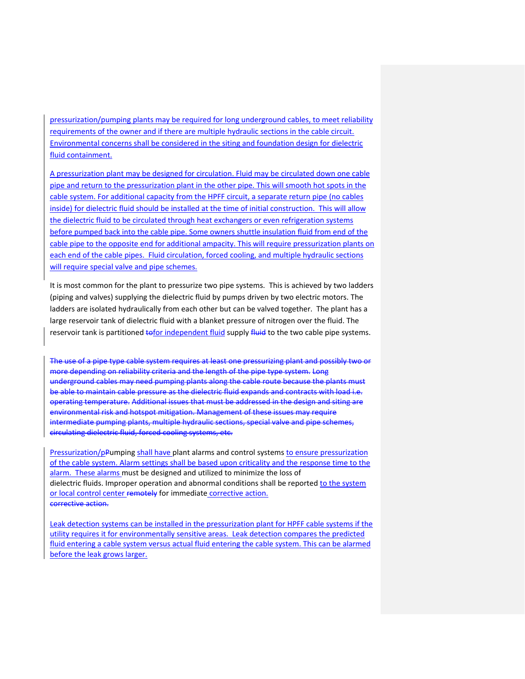pressurization/pumping plants may be required for long underground cables, to meet reliability requirements of the owner and if there are multiple hydraulic sections in the cable circuit. Environmental concerns shall be considered in the siting and foundation design for dielectric fluid containment.

A pressurization plant may be designed for circulation. Fluid may be circulated down one cable pipe and return to the pressurization plant in the other pipe. This will smooth hot spots in the cable system. For additional capacity from the HPFF circuit, a separate return pipe (no cables inside) for dielectric fluid should be installed at the time of initial construction. This will allow the dielectric fluid to be circulated through heat exchangers or even refrigeration systems before pumped back into the cable pipe. Some owners shuttle insulation fluid from end of the cable pipe to the opposite end for additional ampacity. This will require pressurization plants on each end of the cable pipes. Fluid circulation, forced cooling, and multiple hydraulic sections will require special valve and pipe schemes.

It is most common for the plant to pressurize two pipe systems. This is achieved by two ladders (piping and valves) supplying the dielectric fluid by pumps driven by two electric motors. The ladders are isolated hydraulically from each other but can be valved together. The plant has a large reservoir tank of dielectric fluid with a blanket pressure of nitrogen over the fluid. The reservoir tank is partitioned to for independent fluid supply fluid to the two cable pipe systems.

The use of a pipe type cable system requires at least one pressurizing plant and possibly two or more depending on reliability criteria and the length of the pipe type system. Long underground cables may need pumping plants along the cable route because the plants must be able to maintain cable pressure as the dielectric fluid expands and contracts with load i.e. operating temperature. Additional issues that must be addressed in the design and siting are environmental risk and hotspot mitigation. Management of these issues may require intermediate pumping plants, multiple hydraulic sections, special valve and pipe schemes, circulating dielectric fluid, forced cooling systems, etc.

Pressurization/pPumping shall have plant alarms and control systems to ensure pressurization of the cable system. Alarm settings shall be based upon criticality and the response time to the alarm. These alarms must be designed and utilized to minimize the loss of dielectric fluids. Improper operation and abnormal conditions shall be reported to the system or local control center remotely for immediate corrective action. corrective action.

Leak detection systems can be installed in the pressurization plant for HPFF cable systems if the utility requires it for environmentally sensitive areas. Leak detection compares the predicted fluid entering a cable system versus actual fluid entering the cable system. This can be alarmed before the leak grows larger.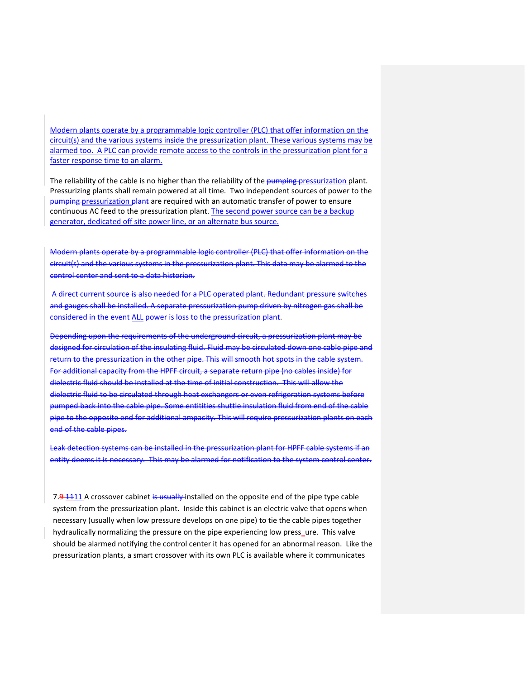Modern plants operate by a programmable logic controller (PLC) that offer information on the circuit(s) and the various systems inside the pressurization plant. These various systems may be alarmed too. A PLC can provide remote access to the controls in the pressurization plant for a faster response time to an alarm.

The reliability of the cable is no higher than the reliability of the pumping pressurization plant. Pressurizing plants shall remain powered at all time. Two independent sources of power to the pumping pressurization plant are required with an automatic transfer of power to ensure continuous AC feed to the pressurization plant. The second power source can be a backup generator, dedicated off site power line, or an alternate bus source.

Modern plants operate by a programmable logic controller (PLC) that offer information on the circuit(s) and the various systems in the pressurization plant. This data may be alarmed to the control center and sent to a data historian.

A direct current source is also needed for a PLC operated plant. Redundant pressure switches and gauges shall be installed. A separate pressurization pump driven by nitrogen gas shall be considered in the event ALL power is loss to the pressurization plant.

Depending upon the requirements of the underground circuit, a pressurization plant may be designed for circulation of the insulating fluid. Fluid may be circulated down one cable pipe and return to the pressurization in the other pipe. This will smooth hot spots in the cable system. For additional capacity from the HPFF circuit, a separate return pipe (no cables inside) for dielectric fluid should be installed at the time of initial construction. This will allow the dielectric fluid to be circulated through heat exchangers or even refrigeration systems before pumped back into the cable pipe. Some entitities shuttle insulation fluid from end of the cable pipe to the opposite end for additional ampacity. This will require pressurization plants on each end of the cable pipes.

Leak detection systems can be installed in the pressurization plant for HPFF cable systems if an entity deems it is necessary. This may be alarmed for notification to the system control center.

7.9.1111 A crossover cabinet is usually installed on the opposite end of the pipe type cable system from the pressurization plant. Inside this cabinet is an electric valve that opens when necessary (usually when low pressure develops on one pipe) to tie the cable pipes together hydraulically normalizing the pressure on the pipe experiencing low press-ure. This valve should be alarmed notifying the control center it has opened for an abnormal reason. Like the pressurization plants, a smart crossover with its own PLC is available where it communicates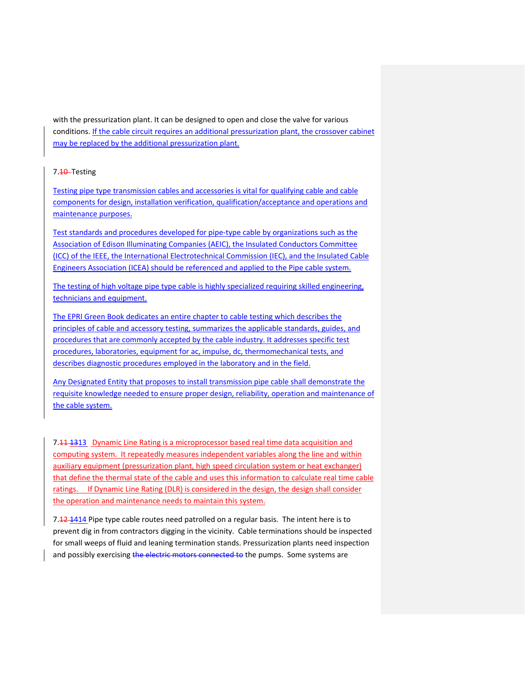with the pressurization plant. It can be designed to open and close the valve for various conditions. If the cable circuit requires an additional pressurization plant, the crossover cabinet may be replaced by the additional pressurization plant.

# 7.<del>10</del> Testing

Testing pipe type transmission cables and accessories is vital for qualifying cable and cable components for design, installation verification, qualification/acceptance and operations and maintenance purposes.

Test standards and procedures developed for pipe-type cable by organizations such as the Association of Edison Illuminating Companies (AEIC), the Insulated Conductors Committee (ICC) of the IEEE, the International Electrotechnical Commission (IEC), and the Insulated Cable Engineers Association (ICEA) should be referenced and applied to the Pipe cable system.

The testing of high voltage pipe type cable is highly specialized requiring skilled engineering, technicians and equipment.

The EPRI Green Book dedicates an entire chapter to cable testing which describes the principles of cable and accessory testing, summarizes the applicable standards, guides, and procedures that are commonly accepted by the cable industry. It addresses specific test procedures, laboratories, equipment for ac, impulse, dc, thermomechanical tests, and describes diagnostic procedures employed in the laboratory and in the field.

Any Designated Entity that proposes to install transmission pipe cable shall demonstrate the requisite knowledge needed to ensure proper design, reliability, operation and maintenance of the cable system.

7.44 1313 Dynamic Line Rating is a microprocessor based real time data acquisition and computing system. It repeatedly measures independent variables along the line and within auxiliary equipment (pressurization plant, high speed circulation system or heat exchanger) that define the thermal state of the cable and uses this information to calculate real time cable ratings. If Dynamic Line Rating (DLR) is considered in the design, the design shall consider the operation and maintenance needs to maintain this system.

7.12 1414 Pipe type cable routes need patrolled on a regular basis. The intent here is to prevent dig in from contractors digging in the vicinity. Cable terminations should be inspected for small weeps of fluid and leaning termination stands. Pressurization plants need inspection and possibly exercising the electric motors connected to the pumps. Some systems are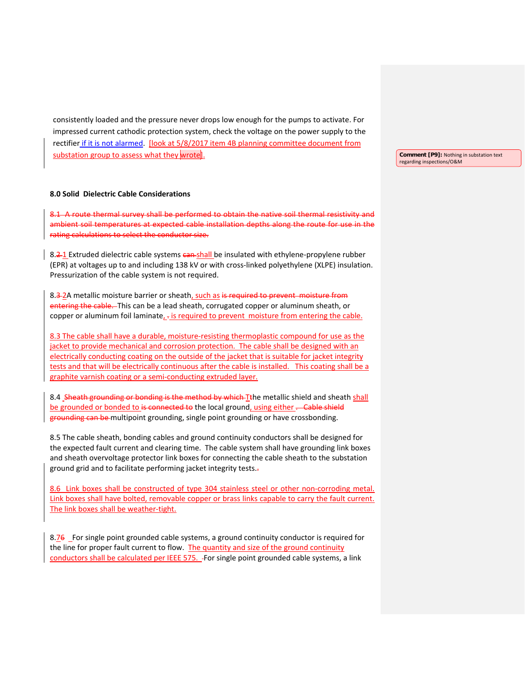consistently loaded and the pressure never drops low enough for the pumps to activate. For impressed current cathodic protection system, check the voltage on the power supply to the rectifier if it is not alarmed. [look at 5/8/2017 item 4B planning committee document from substation group to assess what they wrote.

## **8.0 Solid Dielectric Cable Considerations**

8.1 A route thermal survey shall be performed to obtain the native soil thermal resistivity and ambient soil temperatures at expected cable installation depths along the route for use in the rating calculations to select the conductor size.

8.2-1 Extruded dielectric cable systems can shall be insulated with ethylene-propylene rubber (EPR) at voltages up to and including 138 kV or with cross-linked polyethylene (XLPE) insulation. Pressurization of the cable system is not required.

8.3-2A metallic moisture barrier or sheath, such as is required to prevent moisture from entering the cable. This can be a lead sheath, corrugated copper or aluminum sheath, or copper or aluminum foil laminate,  $\frac{1}{2}$  is required to prevent moisture from entering the cable.

8.3 The cable shall have a durable, moisture-resisting thermoplastic compound for use as the jacket to provide mechanical and corrosion protection. The cable shall be designed with an electrically conducting coating on the outside of the jacket that is suitable for jacket integrity tests and that will be electrically continuous after the cable is installed. This coating shall be a graphite varnish coating or a semi-conducting extruded layer.

8.4 Sheath grounding or bonding is the method by which Tthe metallic shield and sheath shall be grounded or bonded to is connected to the local ground, using either . Cable shield grounding can be multipoint grounding, single point grounding or have crossbonding.

8.5 The cable sheath, bonding cables and ground continuity conductors shall be designed for the expected fault current and clearing time. The cable system shall have grounding link boxes and sheath overvoltage protector link boxes for connecting the cable sheath to the substation ground grid and to facilitate performing jacket integrity tests..

8.6 Link boxes shall be constructed of type 304 stainless steel or other non-corroding metal. Link boxes shall have bolted, removable copper or brass links capable to carry the fault current. The link boxes shall be weather-tight.

8.76 For single point grounded cable systems, a ground continuity conductor is required for the line for proper fault current to flow. The quantity and size of the ground continuity conductors shall be calculated per IEEE 575. For single point grounded cable systems, a link

**Comment [P9]:** Nothing in substation text regarding inspections/O&M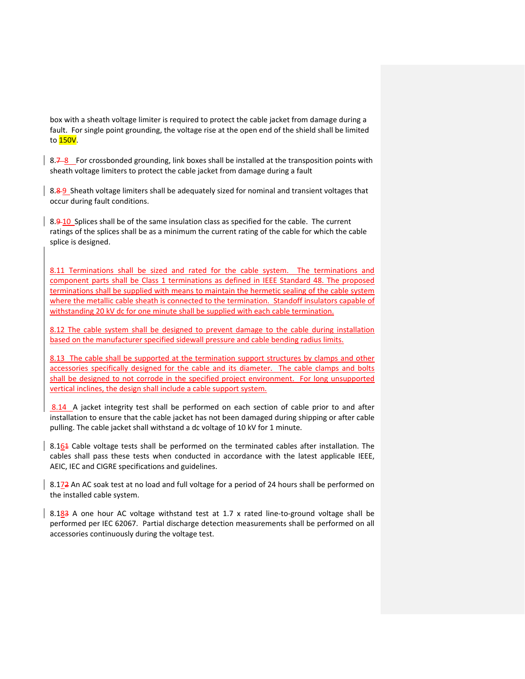box with a sheath voltage limiter is required to protect the cable jacket from damage during a fault. For single point grounding, the voltage rise at the open end of the shield shall be limited to 150V.

8.7-8 For crossbonded grounding, link boxes shall be installed at the transposition points with sheath voltage limiters to protect the cable jacket from damage during a fault

8.8-9 Sheath voltage limiters shall be adequately sized for nominal and transient voltages that occur during fault conditions.

8.9-10 Splices shall be of the same insulation class as specified for the cable. The current ratings of the splices shall be as a minimum the current rating of the cable for which the cable splice is designed.

8.11 Terminations shall be sized and rated for the cable system. The terminations and component parts shall be Class 1 terminations as defined in IEEE Standard 48. The proposed terminations shall be supplied with means to maintain the hermetic sealing of the cable system where the metallic cable sheath is connected to the termination. Standoff insulators capable of withstanding 20 kV dc for one minute shall be supplied with each cable termination.

8.12 The cable system shall be designed to prevent damage to the cable during installation based on the manufacturer specified sidewall pressure and cable bending radius limits.

8.13 The cable shall be supported at the termination support structures by clamps and other accessories specifically designed for the cable and its diameter. The cable clamps and bolts shall be designed to not corrode in the specified project environment. For long unsupported vertical inclines, the design shall include a cable support system.

8.14 A jacket integrity test shall be performed on each section of cable prior to and after installation to ensure that the cable jacket has not been damaged during shipping or after cable pulling. The cable jacket shall withstand a dc voltage of 10 kV for 1 minute.

8.164 Cable voltage tests shall be performed on the terminated cables after installation. The cables shall pass these tests when conducted in accordance with the latest applicable IEEE, AEIC, IEC and CIGRE specifications and guidelines.

8.172 An AC soak test at no load and full voltage for a period of 24 hours shall be performed on the installed cable system.

8.183 A one hour AC voltage withstand test at 1.7 x rated line-to-ground voltage shall be performed per IEC 62067. Partial discharge detection measurements shall be performed on all accessories continuously during the voltage test.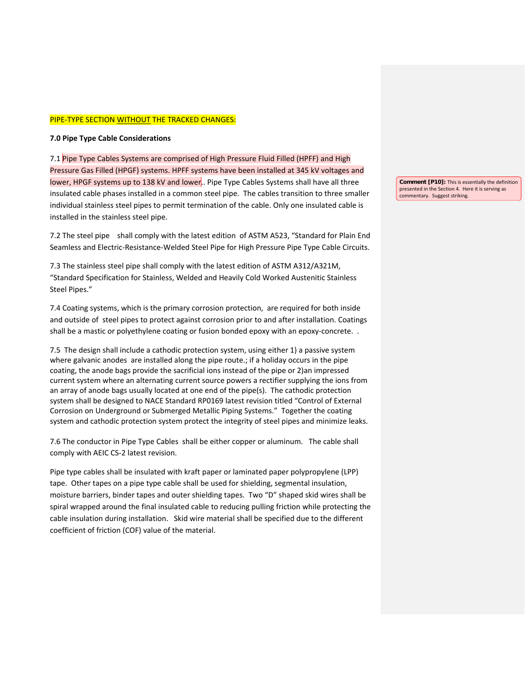#### PIPE-TYPE SECTION WITHOUT THE TRACKED CHANGES:

## **7.0 Pipe Type Cable Considerations**

7.1 Pipe Type Cables Systems are comprised of High Pressure Fluid Filled (HPFF) and High Pressure Gas Filled (HPGF) systems. HPFF systems have been installed at 345 kV voltages and lower, HPGF systems up to 138 kV and lower.. Pipe Type Cables Systems shall have all three insulated cable phases installed in a common steel pipe. The cables transition to three smaller individual stainless steel pipes to permit termination of the cable. Only one insulated cable is installed in the stainless steel pipe.

7.2 The steel pipe shall comply with the latest edition of ASTM A523, "Standard for Plain End Seamless and Electric-Resistance-Welded Steel Pipe for High Pressure Pipe Type Cable Circuits.

7.3 The stainless steel pipe shall comply with the latest edition of ASTM A312/A321M, "Standard Specification for Stainless, Welded and Heavily Cold Worked Austenitic Stainless Steel Pipes."

7.4 Coating systems, which is the primary corrosion protection, are required for both inside and outside of steel pipes to protect against corrosion prior to and after installation. Coatings shall be a mastic or polyethylene coating or fusion bonded epoxy with an epoxy-concrete. .

7.5 The design shall include a cathodic protection system, using either 1) a passive system where galvanic anodes are installed along the pipe route.; if a holiday occurs in the pipe coating, the anode bags provide the sacrificial ions instead of the pipe or 2)an impressed current system where an alternating current source powers a rectifier supplying the ions from an array of anode bags usually located at one end of the pipe(s). The cathodic protection system shall be designed to NACE Standard RP0169 latest revision titled "Control of External Corrosion on Underground or Submerged Metallic Piping Systems." Together the coating system and cathodic protection system protect the integrity of steel pipes and minimize leaks.

7.6 The conductor in Pipe Type Cables shall be either copper or aluminum. The cable shall comply with AEIC CS-2 latest revision.

Pipe type cables shall be insulated with kraft paper or laminated paper polypropylene (LPP) tape. Other tapes on a pipe type cable shall be used for shielding, segmental insulation, moisture barriers, binder tapes and outer shielding tapes. Two "D" shaped skid wires shall be spiral wrapped around the final insulated cable to reducing pulling friction while protecting the cable insulation during installation. Skid wire material shall be specified due to the different coefficient of friction (COF) value of the material.

**Comment [P10]:** This is essentially the definition presented in the Section 4. Here it is serving as commentary. Suggest striking.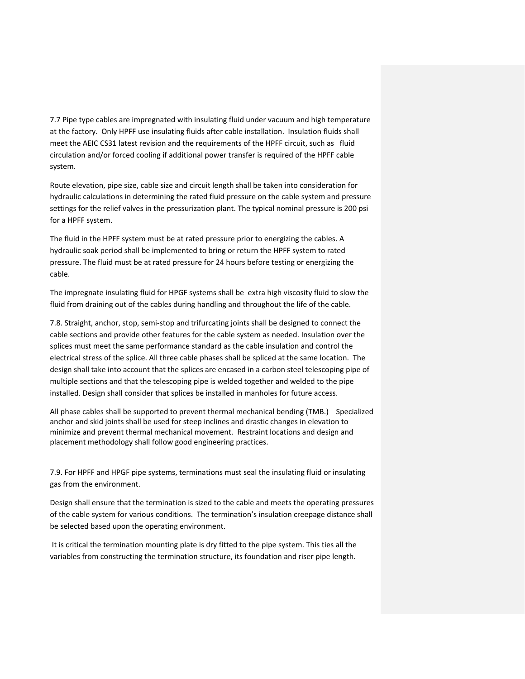7.7 Pipe type cables are impregnated with insulating fluid under vacuum and high temperature at the factory. Only HPFF use insulating fluids after cable installation. Insulation fluids shall meet the AEIC CS31 latest revision and the requirements of the HPFF circuit, such as fluid circulation and/or forced cooling if additional power transfer is required of the HPFF cable system.

Route elevation, pipe size, cable size and circuit length shall be taken into consideration for hydraulic calculations in determining the rated fluid pressure on the cable system and pressure settings for the relief valves in the pressurization plant. The typical nominal pressure is 200 psi for a HPFF system.

The fluid in the HPFF system must be at rated pressure prior to energizing the cables. A hydraulic soak period shall be implemented to bring or return the HPFF system to rated pressure. The fluid must be at rated pressure for 24 hours before testing or energizing the cable.

The impregnate insulating fluid for HPGF systems shall be extra high viscosity fluid to slow the fluid from draining out of the cables during handling and throughout the life of the cable.

7.8. Straight, anchor, stop, semi-stop and trifurcating joints shall be designed to connect the cable sections and provide other features for the cable system as needed. Insulation over the splices must meet the same performance standard as the cable insulation and control the electrical stress of the splice. All three cable phases shall be spliced at the same location. The design shall take into account that the splices are encased in a carbon steel telescoping pipe of multiple sections and that the telescoping pipe is welded together and welded to the pipe installed. Design shall consider that splices be installed in manholes for future access.

All phase cables shall be supported to prevent thermal mechanical bending (TMB.) Specialized anchor and skid joints shall be used for steep inclines and drastic changes in elevation to minimize and prevent thermal mechanical movement. Restraint locations and design and placement methodology shall follow good engineering practices.

7.9. For HPFF and HPGF pipe systems, terminations must seal the insulating fluid or insulating gas from the environment.

Design shall ensure that the termination is sized to the cable and meets the operating pressures of the cable system for various conditions. The termination's insulation creepage distance shall be selected based upon the operating environment.

It is critical the termination mounting plate is dry fitted to the pipe system. This ties all the variables from constructing the termination structure, its foundation and riser pipe length.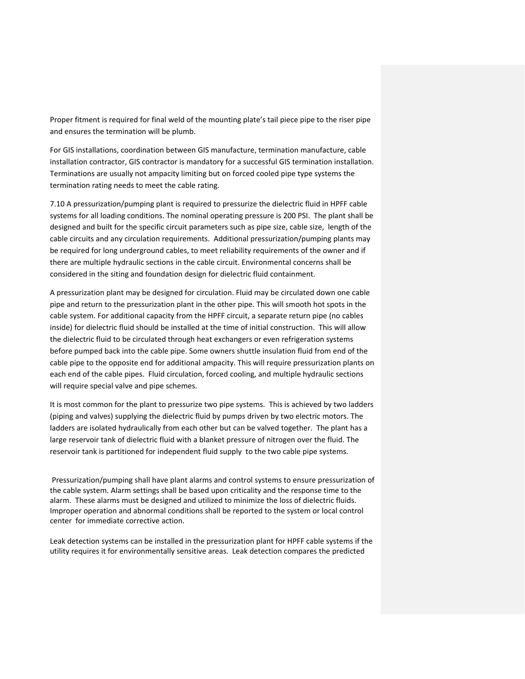Proper fitment is required for final weld of the mounting plate's tail piece pipe to the riser pipe and ensures the termination will be plumb.

For GIS installations, coordination between GIS manufacture, termination manufacture, cable installation contractor, GIS contractor is mandatory for a successful GIS termination installation. Terminations are usually not ampacity limiting but on forced cooled pipe type systems the termination rating needs to meet the cable rating.

7.10 A pressurization/pumping plant is required to pressurize the dielectric fluid in HPFF cable systems for all loading conditions. The nominal operating pressure is 200 PSI. The plant shall be designed and built for the specific circuit parameters such as pipe size, cable size, length of the cable circuits and any circulation requirements. Additional pressurization/pumping plants may be required for long underground cables, to meet reliability requirements of the owner and if there are multiple hydraulic sections in the cable circuit. Environmental concerns shall be considered in the siting and foundation design for dielectric fluid containment.

A pressurization plant may be designed for circulation. Fluid may be circulated down one cable pipe and return to the pressurization plant in the other pipe. This will smooth hot spots in the cable system. For additional capacity from the HPFF circuit, a separate return pipe (no cables inside) for dielectric fluid should be installed at the time of initial construction. This will allow the dielectric fluid to be circulated through heat exchangers or even refrigeration systems before pumped back into the cable pipe. Some owners shuttle insulation fluid from end of the cable pipe to the opposite end for additional ampacity. This will require pressurization plants on each end of the cable pipes. Fluid circulation, forced cooling, and multiple hydraulic sections will require special valve and pipe schemes.

It is most common for the plant to pressurize two pipe systems. This is achieved by two ladders (piping and valves) supplying the dielectric fluid by pumps driven by two electric motors. The ladders are isolated hydraulically from each other but can be valved together. The plant has a large reservoir tank of dielectric fluid with a blanket pressure of nitrogen over the fluid. The reservoir tank is partitioned for independent fluid supply to the two cable pipe systems.

Pressurization/pumping shall have plant alarms and control systems to ensure pressurization of the cable system. Alarm settings shall be based upon criticality and the response time to the alarm. These alarms must be designed and utilized to minimize the loss of dielectric fluids. Improper operation and abnormal conditions shall be reported to the system or local control center for immediate corrective action.

Leak detection systems can be installed in the pressurization plant for HPFF cable systems if the utility requires it for environmentally sensitive areas. Leak detection compares the predicted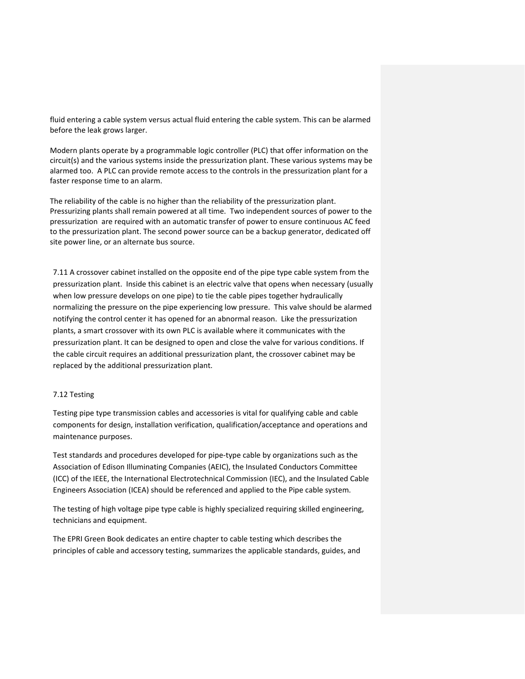fluid entering a cable system versus actual fluid entering the cable system. This can be alarmed before the leak grows larger.

Modern plants operate by a programmable logic controller (PLC) that offer information on the circuit(s) and the various systems inside the pressurization plant. These various systems may be alarmed too. A PLC can provide remote access to the controls in the pressurization plant for a faster response time to an alarm.

The reliability of the cable is no higher than the reliability of the pressurization plant. Pressurizing plants shall remain powered at all time. Two independent sources of power to the pressurization are required with an automatic transfer of power to ensure continuous AC feed to the pressurization plant. The second power source can be a backup generator, dedicated off site power line, or an alternate bus source.

7.11 A crossover cabinet installed on the opposite end of the pipe type cable system from the pressurization plant. Inside this cabinet is an electric valve that opens when necessary (usually when low pressure develops on one pipe) to tie the cable pipes together hydraulically normalizing the pressure on the pipe experiencing low pressure. This valve should be alarmed notifying the control center it has opened for an abnormal reason. Like the pressurization plants, a smart crossover with its own PLC is available where it communicates with the pressurization plant. It can be designed to open and close the valve for various conditions. If the cable circuit requires an additional pressurization plant, the crossover cabinet may be replaced by the additional pressurization plant.

# 7.12 Testing

Testing pipe type transmission cables and accessories is vital for qualifying cable and cable components for design, installation verification, qualification/acceptance and operations and maintenance purposes.

Test standards and procedures developed for pipe-type cable by organizations such as the Association of Edison Illuminating Companies (AEIC), the Insulated Conductors Committee (ICC) of the IEEE, the International Electrotechnical Commission (IEC), and the Insulated Cable Engineers Association (ICEA) should be referenced and applied to the Pipe cable system.

The testing of high voltage pipe type cable is highly specialized requiring skilled engineering, technicians and equipment.

The EPRI Green Book dedicates an entire chapter to cable testing which describes the principles of cable and accessory testing, summarizes the applicable standards, guides, and